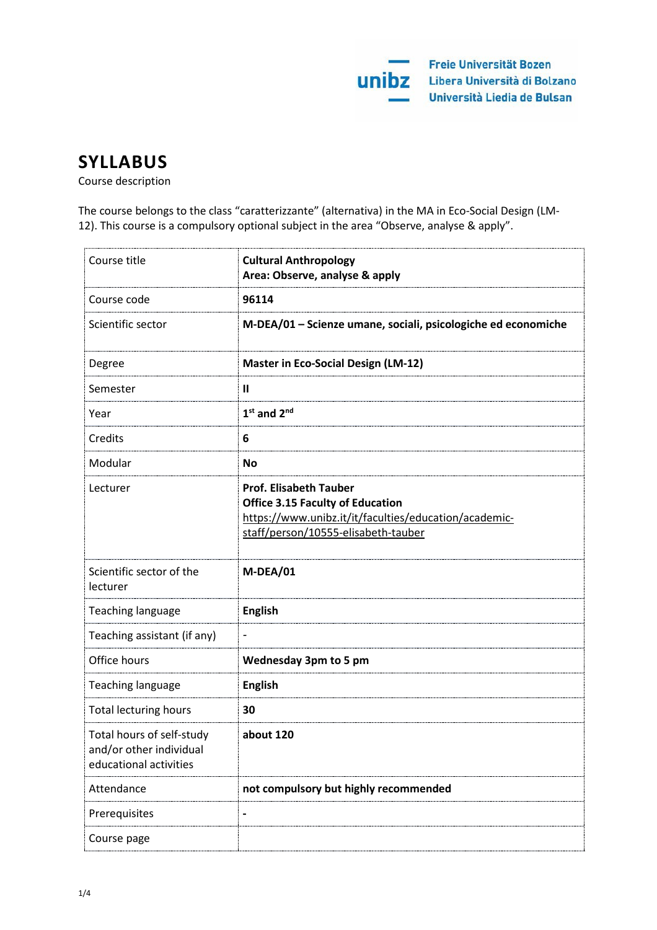

# **SYLLABUS**

Course description

The course belongs to the class "caratterizzante" (alternativa) in the MA in Eco-Social Design (LM-12). This course is a compulsory optional subject in the area "Observe, analyse & apply".

| Course title                                                                   | <b>Cultural Anthropology</b><br>Area: Observe, analyse & apply                                                                                                           |
|--------------------------------------------------------------------------------|--------------------------------------------------------------------------------------------------------------------------------------------------------------------------|
| Course code                                                                    | 96114                                                                                                                                                                    |
| Scientific sector                                                              | M-DEA/01 - Scienze umane, sociali, psicologiche ed economiche                                                                                                            |
| Degree                                                                         | <b>Master in Eco-Social Design (LM-12)</b>                                                                                                                               |
| Semester                                                                       | $\mathbf{I}$                                                                                                                                                             |
| Year                                                                           | $1st$ and $2nd$                                                                                                                                                          |
| Credits                                                                        | 6                                                                                                                                                                        |
| Modular                                                                        | <b>No</b>                                                                                                                                                                |
| Lecturer                                                                       | <b>Prof. Elisabeth Tauber</b><br><b>Office 3.15 Faculty of Education</b><br>https://www.unibz.it/it/faculties/education/academic-<br>staff/person/10555-elisabeth-tauber |
| Scientific sector of the<br>lecturer                                           | M-DEA/01                                                                                                                                                                 |
| Teaching language                                                              | <b>English</b>                                                                                                                                                           |
| Teaching assistant (if any)                                                    |                                                                                                                                                                          |
| Office hours                                                                   | <b>Wednesday 3pm to 5 pm</b>                                                                                                                                             |
| Teaching language                                                              | <b>English</b>                                                                                                                                                           |
| <b>Total lecturing hours</b>                                                   | 30                                                                                                                                                                       |
| Total hours of self-study<br>and/or other individual<br>educational activities | about 120                                                                                                                                                                |
| Attendance                                                                     | not compulsory but highly recommended                                                                                                                                    |
| Prerequisites                                                                  |                                                                                                                                                                          |
| Course page                                                                    |                                                                                                                                                                          |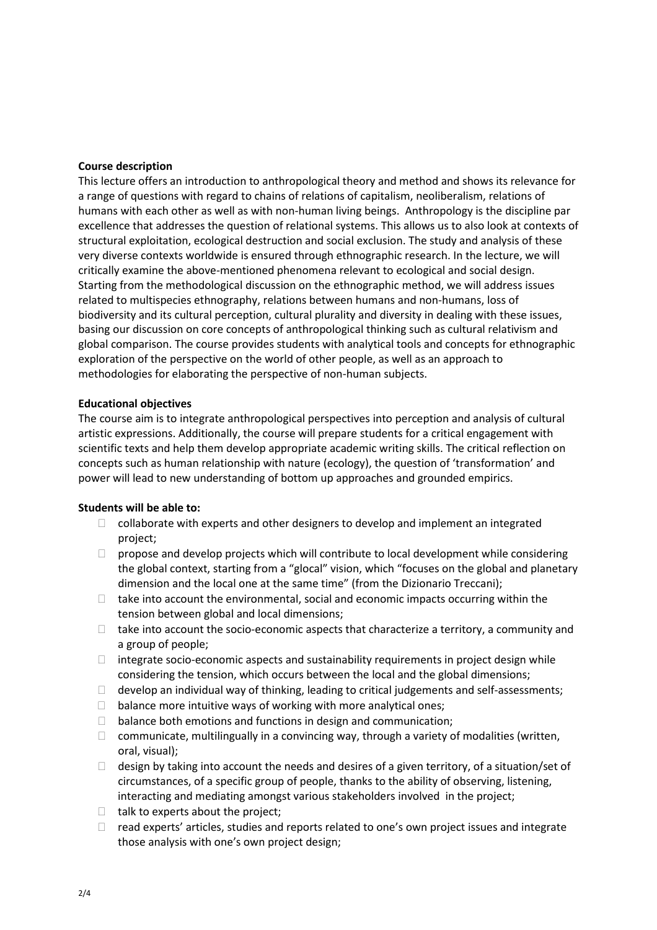## **Course description**

This lecture offers an introduction to anthropological theory and method and shows its relevance for a range of questions with regard to chains of relations of capitalism, neoliberalism, relations of humans with each other as well as with non-human living beings. Anthropology is the discipline par excellence that addresses the question of relational systems. This allows us to also look at contexts of structural exploitation, ecological destruction and social exclusion. The study and analysis of these very diverse contexts worldwide is ensured through ethnographic research. In the lecture, we will critically examine the above-mentioned phenomena relevant to ecological and social design. Starting from the methodological discussion on the ethnographic method, we will address issues related to multispecies ethnography, relations between humans and non-humans, loss of biodiversity and its cultural perception, cultural plurality and diversity in dealing with these issues, basing our discussion on core concepts of anthropological thinking such as cultural relativism and global comparison. The course provides students with analytical tools and concepts for ethnographic exploration of the perspective on the world of other people, as well as an approach to methodologies for elaborating the perspective of non-human subjects.

# **Educational objectives**

The course aim is to integrate anthropological perspectives into perception and analysis of cultural artistic expressions. Additionally, the course will prepare students for a critical engagement with scientific texts and help them develop appropriate academic writing skills. The critical reflection on concepts such as human relationship with nature (ecology), the question of 'transformation' and power will lead to new understanding of bottom up approaches and grounded empirics.

## **Students will be able to:**

- $\Box$  collaborate with experts and other designers to develop and implement an integrated project;
- $\Box$  propose and develop projects which will contribute to local development while considering the global context, starting from a "glocal" vision, which "focuses on the global and planetary dimension and the local one at the same time" (from the Dizionario Treccani);
- $\Box$  take into account the environmental, social and economic impacts occurring within the tension between global and local dimensions;
- $\Box$  take into account the socio-economic aspects that characterize a territory, a community and a group of people;
- $\Box$  integrate socio-economic aspects and sustainability requirements in project design while considering the tension, which occurs between the local and the global dimensions;
- $\Box$  develop an individual way of thinking, leading to critical judgements and self-assessments;
- $\Box$  balance more intuitive ways of working with more analytical ones;
- $\Box$  balance both emotions and functions in design and communication;
- $\Box$  communicate, multilingually in a convincing way, through a variety of modalities (written, oral, visual);
- $\Box$  design by taking into account the needs and desires of a given territory, of a situation/set of circumstances, of a specific group of people, thanks to the ability of observing, listening, interacting and mediating amongst various stakeholders involved in the project;
- $\Box$  talk to experts about the project;
- $\Box$  read experts' articles, studies and reports related to one's own project issues and integrate those analysis with one's own project design;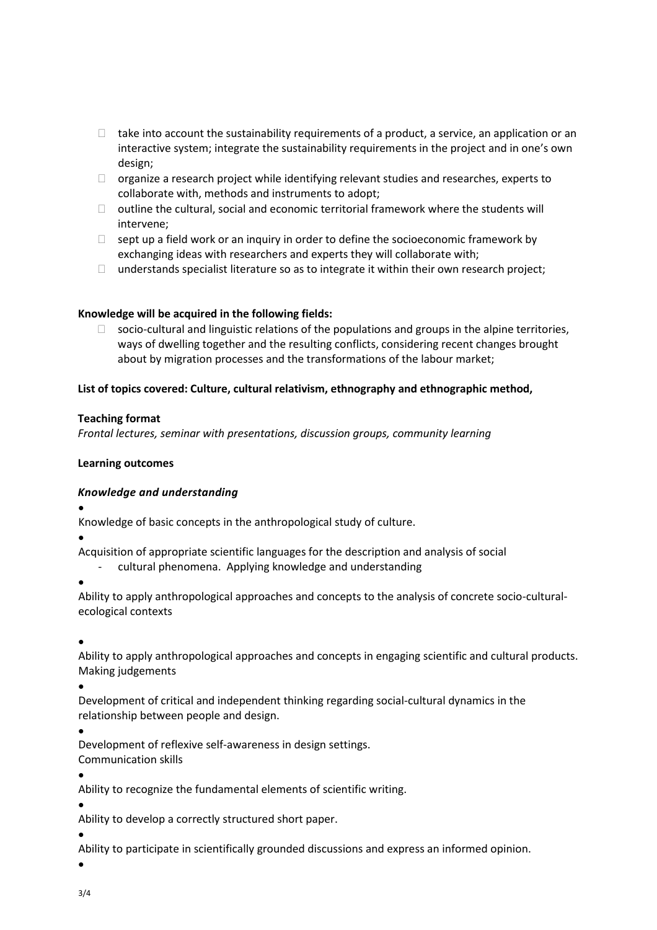- $\Box$  take into account the sustainability requirements of a product, a service, an application or an interactive system; integrate the sustainability requirements in the project and in one's own design;
- $\Box$  organize a research project while identifying relevant studies and researches, experts to collaborate with, methods and instruments to adopt;
- $\Box$  outline the cultural, social and economic territorial framework where the students will intervene;
- $\Box$  sept up a field work or an inquiry in order to define the socioeconomic framework by exchanging ideas with researchers and experts they will collaborate with;
- $\Box$  understands specialist literature so as to integrate it within their own research project;

# **Knowledge will be acquired in the following fields:**

 $\Box$  socio-cultural and linguistic relations of the populations and groups in the alpine territories, ways of dwelling together and the resulting conflicts, considering recent changes brought about by migration processes and the transformations of the labour market;

# **List of topics covered: Culture, cultural relativism, ethnography and ethnographic method,**

## **Teaching format**

*Frontal lectures, seminar with presentations, discussion groups, community learning*

## **Learning outcomes**

# *Knowledge and understanding*

•

Knowledge of basic concepts in the anthropological study of culture.

•

Acquisition of appropriate scientific languages for the description and analysis of social

- cultural phenomena. Applying knowledge and understanding
- •

Ability to apply anthropological approaches and concepts to the analysis of concrete socio-culturalecological contexts

•

Ability to apply anthropological approaches and concepts in engaging scientific and cultural products. Making judgements

•

Development of critical and independent thinking regarding social-cultural dynamics in the relationship between people and design.

•

Development of reflexive self-awareness in design settings. Communication skills

•

Ability to recognize the fundamental elements of scientific writing.

•

Ability to develop a correctly structured short paper.

•

Ability to participate in scientifically grounded discussions and express an informed opinion.

•